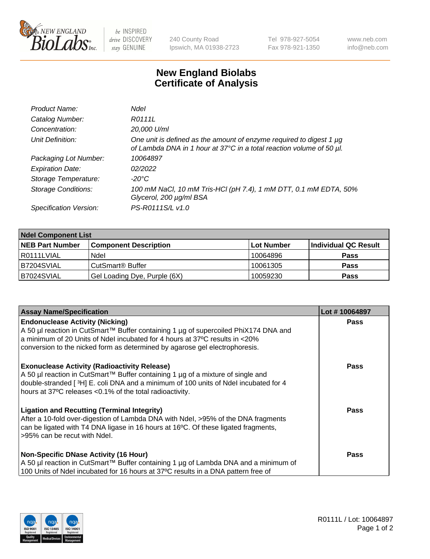

 $be$  INSPIRED drive DISCOVERY stay GENUINE

240 County Road Ipswich, MA 01938-2723 Tel 978-927-5054 Fax 978-921-1350 www.neb.com info@neb.com

## **New England Biolabs Certificate of Analysis**

| Product Name:              | Ndel                                                                                                                                             |
|----------------------------|--------------------------------------------------------------------------------------------------------------------------------------------------|
| Catalog Number:            | R0111L                                                                                                                                           |
| Concentration:             | 20,000 U/ml                                                                                                                                      |
| Unit Definition:           | One unit is defined as the amount of enzyme required to digest 1 $\mu$ g<br>of Lambda DNA in 1 hour at 37°C in a total reaction volume of 50 µl. |
| Packaging Lot Number:      | 10064897                                                                                                                                         |
| <b>Expiration Date:</b>    | 02/2022                                                                                                                                          |
| Storage Temperature:       | $-20^{\circ}$ C                                                                                                                                  |
| <b>Storage Conditions:</b> | 100 mM NaCl, 10 mM Tris-HCl (pH 7.4), 1 mM DTT, 0.1 mM EDTA, 50%<br>Glycerol, 200 µg/ml BSA                                                      |
| Specification Version:     | PS-R0111S/L v1.0                                                                                                                                 |

| <b>Ndel Component List</b> |                              |                   |                      |  |  |
|----------------------------|------------------------------|-------------------|----------------------|--|--|
| <b>NEB Part Number</b>     | <b>Component Description</b> | <b>Lot Number</b> | Individual QC Result |  |  |
| R0111LVIAL                 | Ndel                         | 10064896          | <b>Pass</b>          |  |  |
| B7204SVIAL                 | CutSmart <sup>®</sup> Buffer | 10061305          | <b>Pass</b>          |  |  |
| B7024SVIAL                 | Gel Loading Dye, Purple (6X) | 10059230          | <b>Pass</b>          |  |  |

| <b>Assay Name/Specification</b>                                                                                                                                                                                                                                                             | Lot #10064897 |
|---------------------------------------------------------------------------------------------------------------------------------------------------------------------------------------------------------------------------------------------------------------------------------------------|---------------|
| <b>Endonuclease Activity (Nicking)</b><br>A 50 µl reaction in CutSmart™ Buffer containing 1 µg of supercoiled PhiX174 DNA and                                                                                                                                                               | <b>Pass</b>   |
| a minimum of 20 Units of Ndel incubated for 4 hours at 37°C results in <20%<br>conversion to the nicked form as determined by agarose gel electrophoresis.                                                                                                                                  |               |
| <b>Exonuclease Activity (Radioactivity Release)</b><br>  A 50 µl reaction in CutSmart™ Buffer containing 1 µg of a mixture of single and<br>double-stranded [3H] E. coli DNA and a minimum of 100 units of Ndel incubated for 4<br>hours at 37°C releases <0.1% of the total radioactivity. | Pass          |
| <b>Ligation and Recutting (Terminal Integrity)</b><br>After a 10-fold over-digestion of Lambda DNA with Ndel, >95% of the DNA fragments<br>can be ligated with T4 DNA ligase in 16 hours at 16 $\degree$ C. Of these ligated fragments,<br>l >95% can be recut with Ndel.                   | Pass          |
| <b>Non-Specific DNase Activity (16 Hour)</b><br>A 50 µl reaction in CutSmart™ Buffer containing 1 µg of Lambda DNA and a minimum of<br>100 Units of Ndel incubated for 16 hours at 37°C results in a DNA pattern free of                                                                    | Pass          |